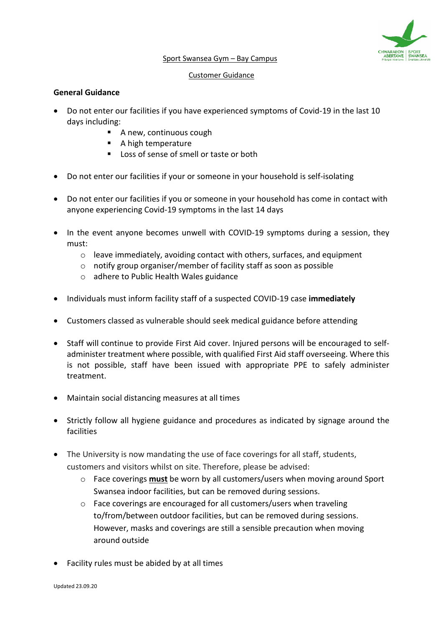

#### Sport Swansea Gym – Bay Campus

#### Customer Guidance

## **General Guidance**

- Do not enter our facilities if you have experienced symptoms of Covid-19 in the last 10 days including:
	- A new, continuous cough
	- A high temperature
	- Loss of sense of smell or taste or both
- Do not enter our facilities if your or someone in your household is self-isolating
- Do not enter our facilities if you or someone in your household has come in contact with anyone experiencing Covid-19 symptoms in the last 14 days
- In the event anyone becomes unwell with COVID-19 symptoms during a session, they must:
	- $\circ$  leave immediately, avoiding contact with others, surfaces, and equipment
	- o notify group organiser/member of facility staff as soon as possible
	- o adhere to [Public Health Wales](https://gov.wales/check-if-you-need-coronavirus-medical-help) guidance
- Individuals must inform facility staff of a suspected COVID-19 case **immediately**
- Customers classed as vulnerable should seek medical guidance before attending
- Staff will continue to provide First Aid cover. Injured persons will be encouraged to selfadminister treatment where possible, with qualified First Aid staff overseeing. Where this is not possible, staff have been issued with appropriate PPE to safely administer treatment.
- Maintain social distancing measures at all times
- Strictly follow all hygiene guidance and procedures as indicated by signage around the facilities
- The University is now mandating the use of face coverings for all staff, students, customers and visitors whilst on site. Therefore, please be advised:
	- o Face coverings **must** be worn by all customers/users when moving around Sport Swansea indoor facilities, but can be removed during sessions.
	- o Face coverings are encouraged for all customers/users when traveling to/from/between outdoor facilities, but can be removed during sessions. However, masks and coverings are still a sensible precaution when moving around outside
- Facility rules must be abided by at all times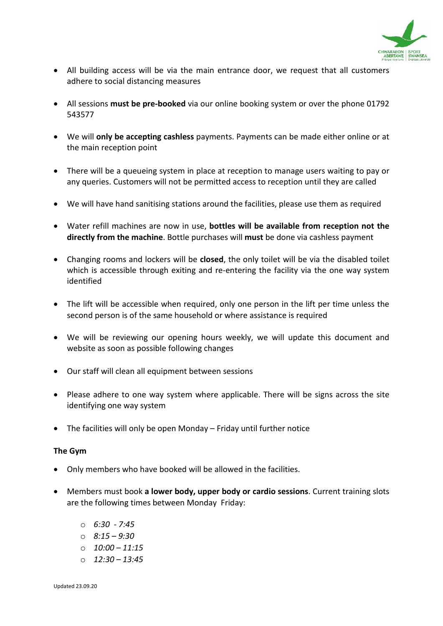

- All building access will be via the main entrance door, we request that all customers adhere to social distancing measures
- All sessions **must be pre-booked** via our online booking system or over the phone 01792 543577
- We will **only be accepting cashless** payments. Payments can be made either online or at the main reception point
- There will be a queueing system in place at reception to manage users waiting to pay or any queries. Customers will not be permitted access to reception until they are called
- We will have hand sanitising stations around the facilities, please use them as required
- Water refill machines are now in use, **bottles will be available from reception not the directly from the machine**. Bottle purchases will **must** be done via cashless payment
- Changing rooms and lockers will be **closed**, the only toilet will be via the disabled toilet which is accessible through exiting and re-entering the facility via the one way system identified
- The lift will be accessible when required, only one person in the lift per time unless the second person is of the same household or where assistance is required
- We will be reviewing our opening hours weekly, we will update this document and website as soon as possible following changes
- Our staff will clean all equipment between sessions
- Please adhere to one way system where applicable. There will be signs across the site identifying one way system
- The facilities will only be open Monday Friday until further notice

# **The Gym**

- Only members who have booked will be allowed in the facilities.
- Members must book **a lower body, upper body or cardio sessions**. Current training slots are the following times between Monday Friday:
	- o *6:30 - 7:45*
	- o *8:15 – 9:30*
	- o *10:00 – 11:15*
	- o *12:30 – 13:45*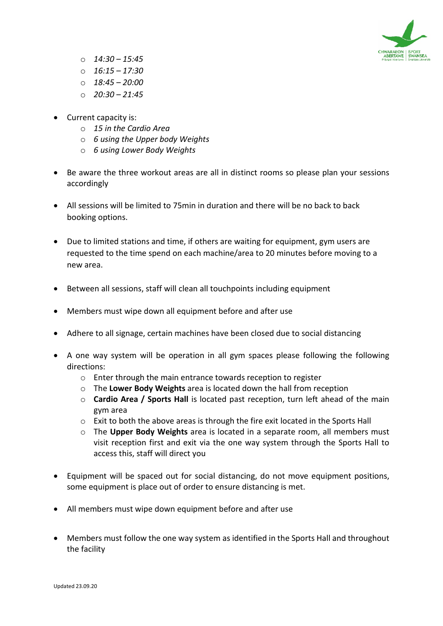

- o *14:30 – 15:45*
- o *16:15 – 17:30*
- o *18:45 – 20:00*
- o *20:30 – 21:45*
- Current capacity is:
	- o *15 in the Cardio Area*
	- o *6 using the Upper body Weights*
	- o *6 using Lower Body Weights*
- Be aware the three workout areas are all in distinct rooms so please plan your sessions accordingly
- All sessions will be limited to 75min in duration and there will be no back to back booking options.
- Due to limited stations and time, if others are waiting for equipment, gym users are requested to the time spend on each machine/area to 20 minutes before moving to a new area.
- Between all sessions, staff will clean all touchpoints including equipment
- Members must wipe down all equipment before and after use
- Adhere to all signage, certain machines have been closed due to social distancing
- A one way system will be operation in all gym spaces please following the following directions:
	- o Enter through the main entrance towards reception to register
	- o The **Lower Body Weights** area is located down the hall from reception
	- o **Cardio Area / Sports Hall** is located past reception, turn left ahead of the main gym area
	- $\circ$  Exit to both the above areas is through the fire exit located in the Sports Hall
	- o The **Upper Body Weights** area is located in a separate room, all members must visit reception first and exit via the one way system through the Sports Hall to access this, staff will direct you
- Equipment will be spaced out for social distancing, do not move equipment positions, some equipment is place out of order to ensure distancing is met.
- All members must wipe down equipment before and after use
- Members must follow the one way system as identified in the Sports Hall and throughout the facility